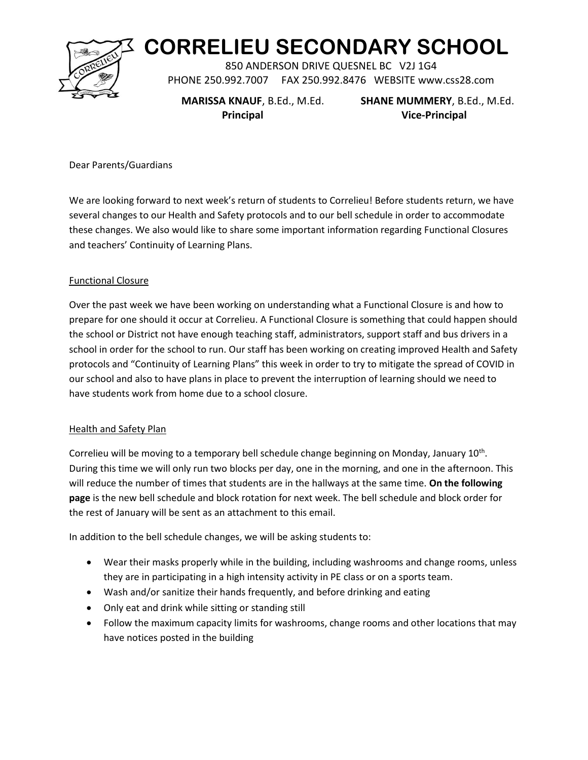

# **CORRELIEU SECONDARY SCHOOL**

850 ANDERSON DRIVE QUESNEL BC V2J 1G4 PHONE 250.992.7007 FAX 250.992.8476 WEBSITE www.css28.com

 **MARISSA KNAUF**, B.Ed., M.Ed. **SHANE MUMMERY**, B.Ed., M.Ed.  **Principal Vice-Principal**

Dear Parents/Guardians

We are looking forward to next week's return of students to Correlieu! Before students return, we have several changes to our Health and Safety protocols and to our bell schedule in order to accommodate these changes. We also would like to share some important information regarding Functional Closures and teachers' Continuity of Learning Plans.

### Functional Closure

Over the past week we have been working on understanding what a Functional Closure is and how to prepare for one should it occur at Correlieu. A Functional Closure is something that could happen should the school or District not have enough teaching staff, administrators, support staff and bus drivers in a school in order for the school to run. Our staff has been working on creating improved Health and Safety protocols and "Continuity of Learning Plans" this week in order to try to mitigate the spread of COVID in our school and also to have plans in place to prevent the interruption of learning should we need to have students work from home due to a school closure.

### Health and Safety Plan

Correlieu will be moving to a temporary bell schedule change beginning on Monday, January  $10^{th}$ . During this time we will only run two blocks per day, one in the morning, and one in the afternoon. This will reduce the number of times that students are in the hallways at the same time. **On the following page** is the new bell schedule and block rotation for next week. The bell schedule and block order for the rest of January will be sent as an attachment to this email.

In addition to the bell schedule changes, we will be asking students to:

- Wear their masks properly while in the building, including washrooms and change rooms, unless they are in participating in a high intensity activity in PE class or on a sports team.
- Wash and/or sanitize their hands frequently, and before drinking and eating
- Only eat and drink while sitting or standing still
- Follow the maximum capacity limits for washrooms, change rooms and other locations that may have notices posted in the building